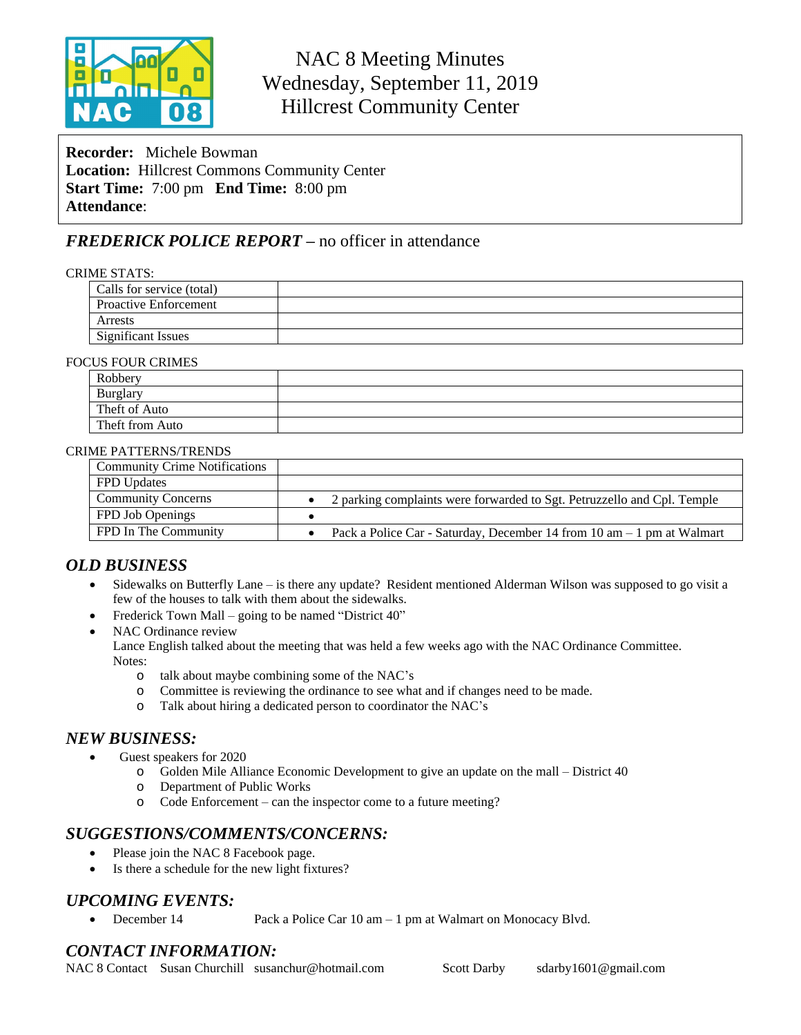

# NAC 8 Meeting Minutes Wednesday, September 11, 2019 Hillcrest Community Center

**Recorder:** Michele Bowman **Location:** Hillcrest Commons Community Center **Start Time:** 7:00 pm **End Time:** 8:00 pm **Attendance**:

## *FREDERICK POLICE REPORT –* no officer in attendance

#### CRIME STATS:

| Calls for service (total)    |  |
|------------------------------|--|
| <b>Proactive Enforcement</b> |  |
| Arrests                      |  |
| <b>Significant Issues</b>    |  |
|                              |  |

#### FOCUS FOUR CRIMES

| Robbery         |  |
|-----------------|--|
| Burglary        |  |
| Theft of Auto   |  |
| Theft from Auto |  |

#### CRIME PATTERNS/TRENDS

| <b>Community Crime Notifications</b> |                                                                                          |
|--------------------------------------|------------------------------------------------------------------------------------------|
| <b>FPD Updates</b>                   |                                                                                          |
| <b>Community Concerns</b>            | 2 parking complaints were forwarded to Sgt. Petruzzello and Cpl. Temple                  |
| FPD Job Openings                     |                                                                                          |
| FPD In The Community                 | Pack a Police Car - Saturday, December 14 from $10 \text{ am} - 1 \text{ pm}$ at Walmart |

## *OLD BUSINESS*

- Sidewalks on Butterfly Lane is there any update? Resident mentioned Alderman Wilson was supposed to go visit a few of the houses to talk with them about the sidewalks.
- Frederick Town Mall going to be named "District 40"
- NAC Ordinance review
	- Lance English talked about the meeting that was held a few weeks ago with the NAC Ordinance Committee. Notes:
		- o talk about maybe combining some of the NAC's
		- o Committee is reviewing the ordinance to see what and if changes need to be made.
		- o Talk about hiring a dedicated person to coordinator the NAC's

### *NEW BUSINESS:*

- Guest speakers for 2020
	- o Golden Mile Alliance Economic Development to give an update on the mall District 40
	- o Department of Public Works
	- o Code Enforcement can the inspector come to a future meeting?

## *SUGGESTIONS/COMMENTS/CONCERNS:*

- Please join the NAC 8 Facebook page.
- Is there a schedule for the new light fixtures?

## *UPCOMING EVENTS:*

• December 14 Pack a Police Car 10 am – 1 pm at Walmart on Monocacy Blvd.

# *CONTACT INFORMATION:*

NAC 8 Contact Susan Churchill [susanchur@hotmail.com](mailto:susanchur@hotmail.com) Scott Darby sdarby1601@gmail.com